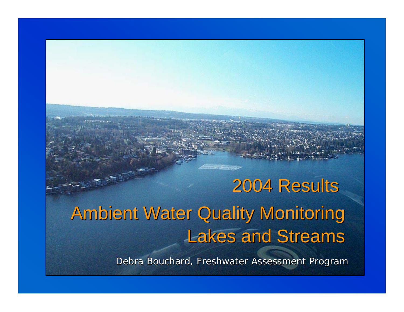## **Ambient Water Quality Monitoring Lakes and Streams** 2004 Results

Debra Bouchard, Freshwater Assessment Program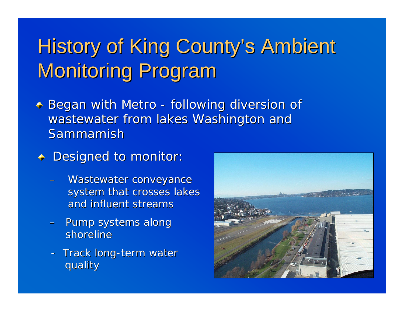## History of King County's Ambient **Monitoring Program**

- Began with Metro -- following diversion of wastewater from lakes Washington and Sammamish
- + Designed to monitor:
	- –Wastewater conveyance system that crosses lakes and influent streams
	- –– Pump systems along shoreline
	- -- Track long-term water quality quality

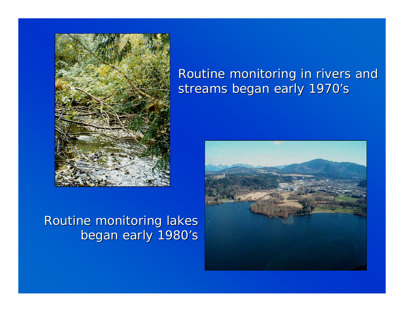

#### Routine monitoring lakes began early 1980's

#### Routine monitoring in rivers and streams began early 1970's

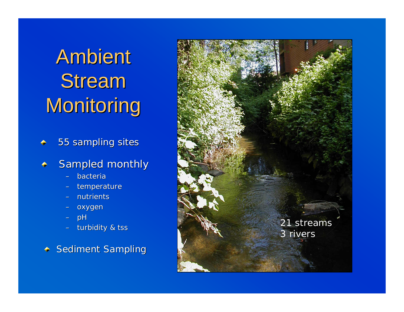**Ambient Stream** Monitoring

55 sampling sites

#### Sampled monthly

- bacteria
- temperature
- nutrients
- –oxygen
- –pH
- turbidity & tss

 $\div$  Sediment Sampling

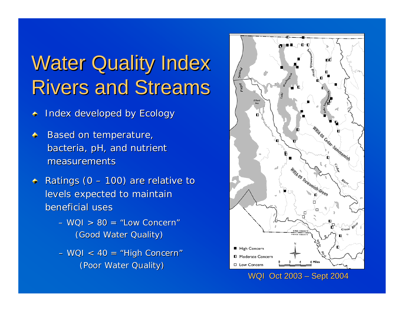## **Water Quality Index Rivers and Streams**

Index developed by Ecology ۰

- Based on temperature,  $\ddot{\bullet}$ bacteria, pH, and nutrient measurements
- Ratings ( $0 100$ ) are relative to  $\triangleq$ levels expected to maintain beneficial uses
	- $-$  WQI  $> 80$  = "Low Concern" (Good Water Quality)
	- WQI < 40 = "High Concern" (Poor Water Quality)



WQI Oct 2003 – Sept 2004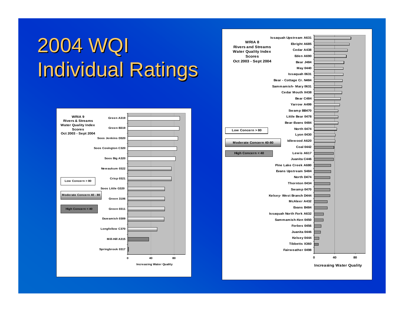## 2004 WQI **Individual Ratings**



|                                       | <b>Issaquah Upstream A631</b> |   |          |  |  |  |  |  |
|---------------------------------------|-------------------------------|---|----------|--|--|--|--|--|
| WRIA 8                                | Ebright A685                  |   |          |  |  |  |  |  |
| <b>Rivers and Streams</b>             | Cedar A438                    |   |          |  |  |  |  |  |
| <b>Water Quality Index</b>            | Eden A690                     |   |          |  |  |  |  |  |
| <b>Scores</b><br>Oct 2003 - Sept 2004 |                               |   |          |  |  |  |  |  |
|                                       | Bear J484                     |   |          |  |  |  |  |  |
|                                       | May 0440                      |   |          |  |  |  |  |  |
|                                       | Issaquah 0631                 |   |          |  |  |  |  |  |
|                                       | Bear - Cottage Cr. N484       |   |          |  |  |  |  |  |
|                                       | Sammamish-Mary 0631           |   |          |  |  |  |  |  |
|                                       | Cedar Mouth X438              |   |          |  |  |  |  |  |
|                                       | Bear C484                     |   |          |  |  |  |  |  |
|                                       | Yarrow A499                   |   |          |  |  |  |  |  |
|                                       | Swamp BB470                   |   |          |  |  |  |  |  |
|                                       | Little Bear 0478              |   |          |  |  |  |  |  |
|                                       | Bear-Evans 0484               |   |          |  |  |  |  |  |
| Low Concern > 80                      | North 0474                    |   |          |  |  |  |  |  |
|                                       | <b>Lyon 0430</b>              |   |          |  |  |  |  |  |
| <b>Moderate Concern 40-80</b>         | Idlewood A620                 |   |          |  |  |  |  |  |
|                                       | <b>Coal 0442</b>              |   |          |  |  |  |  |  |
| High Concern < 40                     | Lewis A617                    |   |          |  |  |  |  |  |
|                                       | Juanita C446                  |   |          |  |  |  |  |  |
|                                       | Pine Lake Creek A680          |   |          |  |  |  |  |  |
| Evans Upstream S484                   |                               |   |          |  |  |  |  |  |
|                                       |                               |   |          |  |  |  |  |  |
|                                       |                               |   |          |  |  |  |  |  |
|                                       | Sw amp 0470                   |   |          |  |  |  |  |  |
|                                       | Kelsey-West Branch D444       |   |          |  |  |  |  |  |
|                                       |                               |   |          |  |  |  |  |  |
|                                       |                               |   |          |  |  |  |  |  |
| <b>Issaquah North Fork A632</b>       |                               |   |          |  |  |  |  |  |
| Sammamish-Ken 0450                    |                               |   |          |  |  |  |  |  |
|                                       |                               |   |          |  |  |  |  |  |
|                                       |                               |   |          |  |  |  |  |  |
|                                       | Kelsey 0444                   |   |          |  |  |  |  |  |
|                                       | <b>Tibbetts X360</b>          |   |          |  |  |  |  |  |
|                                       | Fairweather 0498              |   |          |  |  |  |  |  |
|                                       |                               |   |          |  |  |  |  |  |
|                                       |                               | O | 40<br>80 |  |  |  |  |  |
| <b>Increasing Water Quality</b>       |                               |   |          |  |  |  |  |  |
|                                       |                               |   |          |  |  |  |  |  |

 $\perp$ 

ı I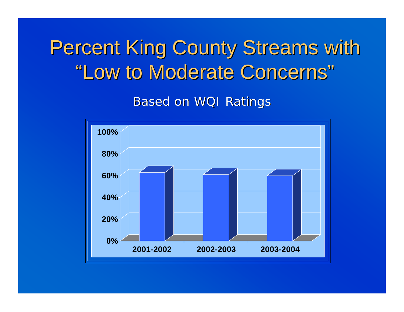## Percent King County Streams with "Low to Moderate Concerns"

**Based on WQI Ratings** 

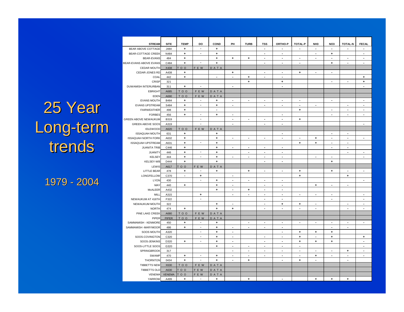#### 25 Year Long-term trends

1979 - 2004

| <b>STREAM</b>               | <b>SITE</b>   | <b>TEMP</b>      | DO                       | COND           | PH                       | <b>TURB</b>              | <b>TSS</b>               | ORTHO-P                  | <b>TOTAL-P</b> | NH <sub>3</sub> | NO <sub>3</sub>          | <b>TOTAL-N</b>           | <b>FECAL</b>             |
|-----------------------------|---------------|------------------|--------------------------|----------------|--------------------------|--------------------------|--------------------------|--------------------------|----------------|-----------------|--------------------------|--------------------------|--------------------------|
| BEAR ABOVE COTTAGE          | J484          | ٠                | $\overline{\phantom{a}}$ | $\ddot{}$      |                          |                          | $\blacksquare$           | $\blacksquare$           | $\blacksquare$ | $\blacksquare$  | $\overline{\phantom{a}}$ | $\blacksquare$           | $\overline{\phantom{a}}$ |
| <b>BEAR-COTTAGE CREEK</b>   | N484          | ٠                | $\overline{\phantom{a}}$ | ٠              |                          |                          | $\blacksquare$           | $\blacksquare$           |                | $\blacksquare$  | ٠                        |                          | $\blacksquare$           |
| <b>BEAR-EVANS</b>           | 484           | $\ddot{}$        |                          | ٠              | ٠                        | $\ddot{}$                | $\blacksquare$           | $\blacksquare$           | $\blacksquare$ | $\blacksquare$  | $\blacksquare$           | $\blacksquare$           | $\blacksquare$           |
| BEAR-EVANS ABOVE EVANS      | C484          | ÷                | $\overline{a}$           | $\ddot{}$      |                          |                          | ä,                       | $\overline{\phantom{a}}$ | ÷,             |                 | $\ddot{}$                | $\overline{\phantom{a}}$ | $\overline{\phantom{a}}$ |
| <b>CEDAR MOUTH</b>          | X438          | TOO              | F E W                    | DATA           |                          |                          |                          |                          |                |                 |                          |                          |                          |
| CEDAR-JONES RD              | A438          | ٠                |                          |                | ٠                        |                          | $\sim$                   | $\mathbf{r}$             | $\ddot{}$      | $\mathbf{r}$    | $\mathbf{r}$             |                          |                          |
| COAL                        | 442           | $\ddot{}$        |                          | $\blacksquare$ | ÷,                       | ÷                        | $\blacksquare$           | $\blacksquare$           |                |                 |                          |                          | ÷                        |
| CRISP                       | 321           |                  |                          |                |                          | $\ddotmark$              |                          | $\ddot{}$                |                |                 | $\overline{\phantom{a}}$ | $\blacksquare$           | $\ddot{}$                |
| DUWAMISH INTERURBAN         | 311           | $\ddot{}$        | $\overline{a}$           |                | $\overline{\phantom{a}}$ |                          |                          | $\overline{\phantom{a}}$ |                |                 |                          |                          | ÷.                       |
| <b>EBRIGHT</b>              | A685          | TO <sub>O</sub>  | F E W                    | DATA           |                          |                          |                          |                          |                |                 |                          |                          |                          |
| EDEN                        | A690          | TO <sub>O</sub>  | F E W                    | DATA           |                          |                          |                          |                          |                |                 |                          |                          |                          |
| <b>EVANS MOUTH</b>          | B484          | +                | $\overline{\phantom{a}}$ | +              | $\overline{\phantom{a}}$ | $\blacksquare$           | $\blacksquare$           | $\blacksquare$           | $\blacksquare$ |                 | $\blacksquare$           |                          | $\blacksquare$           |
| <b>EVANS UPSTREAM</b>       | S484          | ٠                | $\overline{\phantom{a}}$ | ٠              | $\overline{\phantom{a}}$ |                          | $\blacksquare$           | $\ddot{\phantom{a}}$     | $\overline{a}$ | $\blacksquare$  |                          | $\blacksquare$           | $\sim$                   |
| FAIRWEATHER                 | 498           | +                |                          | $\blacksquare$ |                          |                          |                          |                          | $\ddot{}$      |                 | $\blacksquare$           | $\sim$                   | $\blacksquare$           |
| <b>FORBES</b>               | 456           | $\ddot{}$        | $\blacksquare$           | ٠              | $\overline{\phantom{a}}$ |                          |                          | $\sim$                   |                |                 | $\overline{\phantom{a}}$ | $\mathbf{r}$             | $\blacksquare$           |
| <b>GREEN ABOVE NEWAUKUM</b> | B319          |                  | $\overline{\phantom{a}}$ |                | $\blacksquare$           | $\blacksquare$           | $\blacksquare$           | $\blacksquare$           | $\ddot{}$      |                 |                          |                          |                          |
| <b>GREEN ABOVE SOOS</b>     | A319          |                  | $\overline{a}$           |                | $\blacksquare$           |                          | $\blacksquare$           | $\blacksquare$           |                |                 |                          |                          | $\overline{\phantom{a}}$ |
| <b>IDLEWOOD</b>             | A620          | TO <sub>O</sub>  | F E W                    | DATA           |                          |                          |                          |                          |                |                 |                          |                          |                          |
| <b>ISSAQUAH MOUTH</b>       | 631           | ٠                |                          | ٠              |                          |                          |                          | $\overline{\phantom{a}}$ |                |                 | $\blacksquare$           | $\blacksquare$           |                          |
| <b>ISSAQUAH NORTH FORK</b>  | A632          | ۰                |                          | ٠              | $\overline{\phantom{a}}$ | $\blacksquare$           | ٠                        | $\overline{\phantom{a}}$ | $\blacksquare$ | ٠               | ٠                        | $\blacksquare$           | $\blacksquare$           |
| <b>ISSAQUAH UPSTREAM</b>    | A631          | $\ddot{}$        | $\blacksquare$           | $\ddot{}$      |                          |                          |                          |                          | $\ddot{}$      | $\ddot{}$       | $\blacksquare$           | $\blacksquare$           |                          |
| <b>JUANITA TRIB</b>         | C446          | $\ddot{}$        |                          | $\ddot{}$      | $\overline{\phantom{a}}$ | $\blacksquare$           | $\blacksquare$           | $\blacksquare$           |                |                 | $\blacksquare$           | $\blacksquare$           |                          |
| <b>JUANITY</b>              | 446           | $\ddot{}$        | $\overline{a}$           | $\ddot{}$      |                          | $\sim$                   | $\blacksquare$           | $\overline{a}$           |                |                 |                          | $\sim$                   | $\sim$                   |
| <b>KELSEY</b>               | 444           | $\ddot{}$        | $\overline{\phantom{a}}$ | $\ddot{}$      | $\blacksquare$           | $\blacksquare$           | $\blacksquare$           | $\blacksquare$           |                | $\blacksquare$  | $\blacksquare$           |                          | $\overline{\phantom{a}}$ |
| <b>KELSEY-WB</b>            | D444          | $\ddot{}$        |                          | $\ddot{}$      |                          |                          | $\blacksquare$           | $\blacksquare$           |                |                 | $\ddot{}$                |                          |                          |
| LEWIS                       | A617          | 00T              | F E W                    | DATA           |                          |                          |                          |                          |                |                 |                          |                          |                          |
| <b>LITTLE BEAR</b>          | 478           | ٠                | $\overline{\phantom{a}}$ | ٠              |                          | ٠                        | $\blacksquare$           | $\blacksquare$           | ٠              |                 | ٠                        | $\blacksquare$           | $\blacksquare$           |
| <b>LONGFELLOW</b>           | C370          | $\blacksquare$   | ٠                        |                | $\overline{\phantom{a}}$ |                          |                          |                          | ٠              |                 |                          | ÷                        |                          |
| LYON                        | 430           |                  | $\overline{a}$           | $\ddot{}$      | $\blacksquare$           | $\blacksquare$           | $\blacksquare$           | $\blacksquare$           |                |                 |                          |                          | $\blacksquare$           |
| MAY                         | 440           | ÷                |                          | $\ddot{}$      | ÷,                       |                          | $\blacksquare$           | $\overline{\phantom{a}}$ |                | $\ddot{}$       | $\blacksquare$           | $\blacksquare$           |                          |
| McALEER                     | A432          |                  |                          | $\ddot{}$      | $\mathbf{r}$             | $\ddot{}$                | $\blacksquare$           | $\mathbf{r}$             |                |                 |                          |                          |                          |
| MILI                        | A315          |                  | ٠                        |                | $\mathbf{r}$             | $\blacksquare$           | $\sim$                   | $\overline{\phantom{a}}$ | $\sim$         | $\blacksquare$  | $\blacksquare$           |                          | $\blacksquare$           |
| NEWAUKUM AT 416TH           | F322          |                  | $\overline{\phantom{a}}$ |                |                          |                          | $\blacksquare$           | $\blacksquare$           |                |                 | $\overline{\phantom{a}}$ |                          | $\blacksquare$           |
| NEWAUKUM MOUTH              | 322           |                  |                          | $\ddot{}$      | $\overline{\phantom{a}}$ |                          | $\blacksquare$           | $\ddot{}$                | ٠              | $\blacksquare$  |                          | $\sim$                   | $\sim$                   |
| <b>NORTH</b>                | 474           | $\ddot{}$        |                          | $\ddotmark$    | $\ddot{}$                |                          | $\blacksquare$           | $\mathbf{r}$             | $\sim$         | $\blacksquare$  |                          | $\blacksquare$           | $\overline{\phantom{a}}$ |
| PINE LAKE CREEK             | A680          | TOO              | F E W                    | DATA           |                          |                          |                          |                          |                |                 |                          |                          |                          |
| PIPER                       | PIPER         | TO <sub>O</sub>  | F E W                    | DATA           |                          |                          |                          |                          |                |                 |                          |                          |                          |
| SAMMAMISH - KENMORE         | 450           | ٠                | $\overline{\phantom{a}}$ | ٠              |                          | $\blacksquare$           | $\blacksquare$           | $\blacksquare$           | $\blacksquare$ | $\blacksquare$  | $\blacksquare$           | $\blacksquare$           | $\blacksquare$           |
| SAMMAMISH -MARYMOOR         | 486           | ٠                | $\overline{\phantom{a}}$ | ٠              | $\overline{\phantom{a}}$ | $\overline{\phantom{a}}$ | $\blacksquare$           | $\overline{a}$           |                |                 | $\blacksquare$           | $\sim$                   |                          |
| SOOS MOUTH                  | A320          |                  | $\overline{\phantom{a}}$ | $\ddot{}$      | ÷,                       |                          |                          | $\blacksquare$           | $\ddot{}$      | $\ddot{}$       | $\ddot{}$                |                          |                          |
| SOOS-COVINGTON              | C320          |                  | $\blacksquare$           | $\ddot{}$      | $\blacksquare$           |                          | $\blacksquare$           | $\blacksquare$           | $\ddot{}$      | $\blacksquare$  | $\ddot{}$                |                          | $\ddot{}$                |
| SOOS-JENKINS                | D320          | $\ddot{}$        | $\overline{\phantom{a}}$ | $\ddot{}$      | $\blacksquare$           |                          | $\blacksquare$           | $\blacksquare$           | $\ddot{}$      | $\ddot{}$       | $\ddot{}$                |                          | $\blacksquare$           |
| SOOS-LITTLE SOOS            | G320          |                  |                          | ٠              | $\blacksquare$           | $\sim$                   | $\overline{\phantom{a}}$ | $\overline{\phantom{a}}$ | $\blacksquare$ |                 |                          |                          | $\sim$                   |
| SPRINGBROOK                 | 317           |                  |                          |                | $\overline{\phantom{a}}$ | $\blacksquare$           | $\blacksquare$           | $\blacksquare$           | $\sim$         | $\blacksquare$  | $\overline{\phantom{a}}$ | ٠                        | $\blacksquare$           |
| <b>SWAMP</b>                | 470           | ٠                | $\overline{\phantom{a}}$ | ٠              | $\overline{\phantom{a}}$ | $\blacksquare$           | $\blacksquare$           | $\blacksquare$           | $\blacksquare$ | ٠               | $\blacksquare$           | $\overline{\phantom{a}}$ | $\blacksquare$           |
| <b>THORNTON</b>             | 0434          | $\ddot{}$        | $\overline{a}$           | $\ddot{}$      | ÷,                       | $\ddot{}$                |                          | $\overline{\phantom{a}}$ | $\ddot{}$      | $\blacksquare$  |                          | $\blacksquare$           |                          |
| <b>TIBBETTS NEW</b>         | X630          | TO <sub>O</sub>  | F E W                    | DATA           |                          |                          |                          |                          |                |                 |                          |                          |                          |
| <b>TIBBETTS OLD</b>         | A630          | 00               | F E W                    | DATA           |                          |                          |                          |                          |                |                 |                          |                          |                          |
| VENEMA                      | <b>VENEMA</b> | $\overline{0}$ o | F E W                    | DATA           |                          |                          |                          |                          |                |                 |                          |                          |                          |
| YARROW                      | A499          | ÷                | $\overline{\phantom{a}}$ | $\ddotmark$    |                          | $\ddot{\phantom{1}}$     |                          | ÷,                       |                | $\ddotmark$     | ÷                        | $\ddot{}$                |                          |
|                             |               |                  |                          |                |                          |                          |                          |                          |                |                 |                          |                          |                          |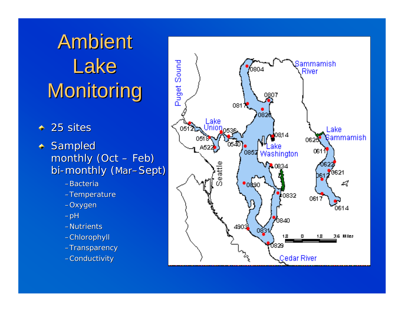# **Ambient** Lake Monitoring

- $\blacklozenge$ 25 sites
- + Sampled monthly (Oct –– Feb) bi-monthly (Mar–Sept)
	- –Bacteria
	- –Temperature
	- –Oxygen
	- $-\rho H$
	- –Nutrients
	- –Chlorophyll Chlorophyll
	- –Transparency Transparency
	- –Conductivity

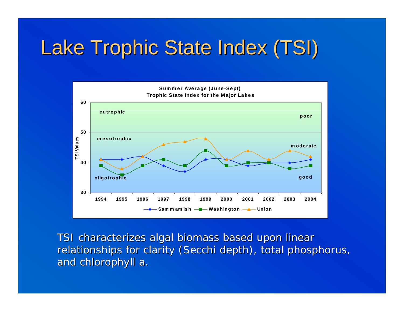## Lake Trophic State Index (TSI)



TSI characterizes algal biomass based upon linear relationships for clarity (Secchi depth), total phosphorus, and chlorophyll *a*.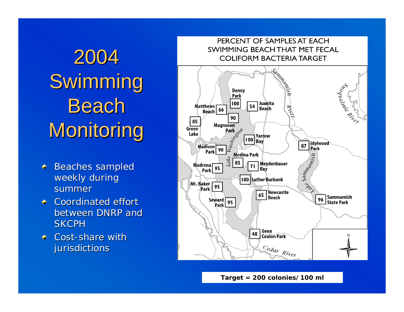# 2004 Swimming Beach Monitoring

- **Beaches sampled**  $\bigoplus_{i=1}^n$ weekly during summer
- $\Leftrightarrow$ Coordinated effort between DNRP and **SKCPH**
- Cost-share with  $\triangle$ jurisdictions



**Target = 200 colonies/100 ml**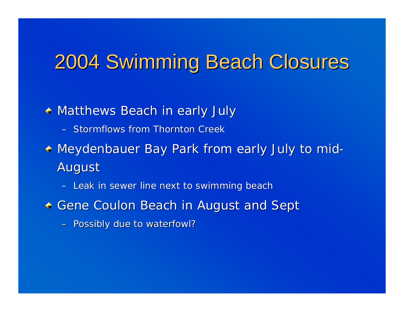#### 2004 Swimming Beach Closures 2004 Swimming Beach Closures

 $\triangleleft$  Matthews Beach in early July

– Stormflows from Thornton Creek

Meydenbauer Bay Park from early July to mid - August

– Leak in sewer line next to swimming beach

- **+ Gene Coulon Beach in August and Sept** 
	- Possibly due to waterfowl?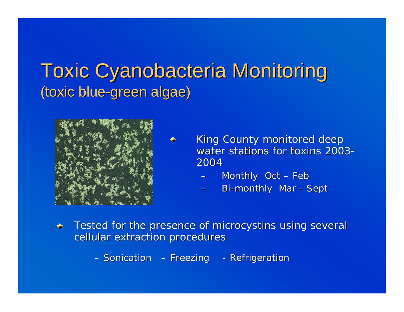#### Toxic Cyanobacteria Monitoring Toxic Cyanobacteria Monitoring (toxic blue-green algae)



- King County monitored deep water stations for toxins 2003-2004
	- Monthly Oct Feb
	- Bi-monthly Mar Sept
- Tested for the presence of microcystins using several ♠ cellular extraction procedures

– Sonication – Freezing - Refrigeration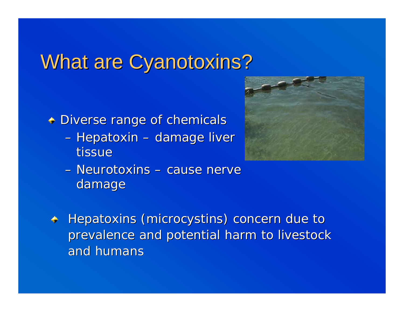#### What are Cyanotoxins?

 $\triangle$  Diverse range of chemicals

–– Hepatoxin  $\cdot$ –– damage liver tissue



- Neurotoxins cause nerve damage
- Hepatoxins (microcystins) concern due to  $\blacklozenge$ prevalence and potential harm to livestock and humans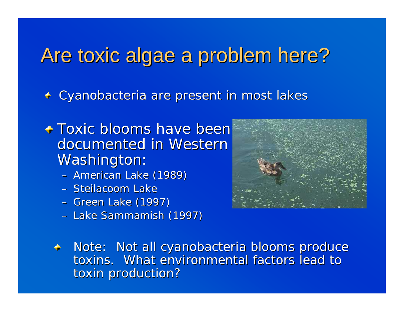### Are toxic algae a problem here?

+ Cyanobacteria are present in most lakes

- **+ Toxic blooms have been** documented in Western Washington:
	- –– American Lake (1989)
	- Steilacoom Lake
	- –– Green Lake (1997)
	- –– Lake Sammamish (1997)



 $\textcolor{red}{\bullet}\textcolor{blue}{\bullet}$  Note: Not all cyanobacteria blooms produce toxins. What environmental factors lead to toxin production?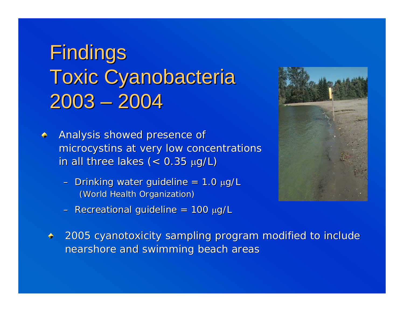## Findings **Toxic Cyanobacteria** 2003 – 2004

- Analysis showed presence of microcystins at very low concentrations microcystins at very low concentrations in all three lakes ( $<$  0.35  $\mu$ g/L)
	- Drinking water guideline = 1.0 μg/L (World Health Organization) (World Health Organization)
	- Recreational guideline = 100 μg/L



2005 cyanotoxicity sampling program modified to include nearshore and swimming beach areas